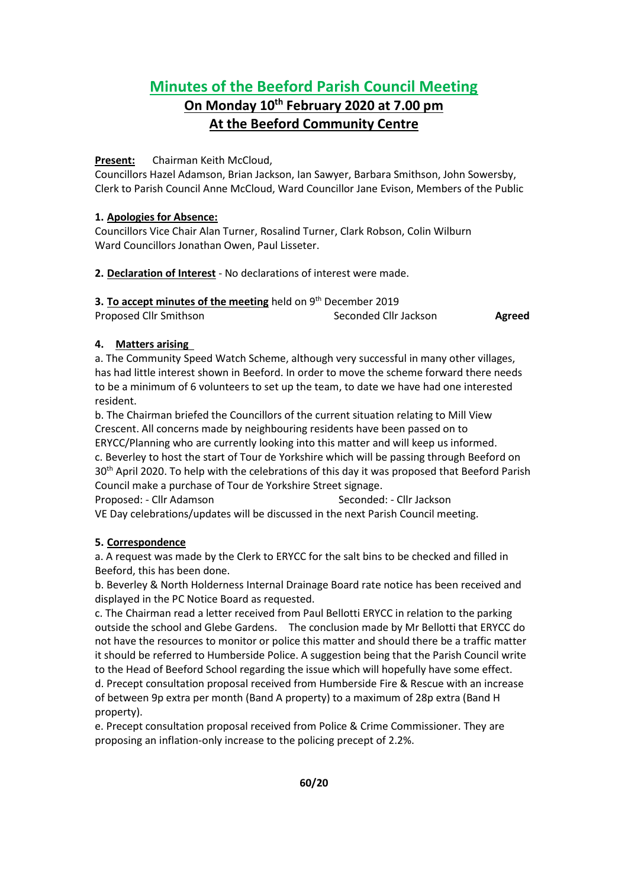# **Minutes of the Beeford Parish Council Meeting**

# **On Monday 10th February 2020 at 7.00 pm At the Beeford Community Centre**

### **Present:** Chairman Keith McCloud,

Councillors Hazel Adamson, Brian Jackson, Ian Sawyer, Barbara Smithson, John Sowersby, Clerk to Parish Council Anne McCloud, Ward Councillor Jane Evison, Members of the Public

### **1. Apologies for Absence:**

Councillors Vice Chair Alan Turner, Rosalind Turner, Clark Robson, Colin Wilburn Ward Councillors Jonathan Owen, Paul Lisseter.

## **2. Declaration of Interest** - No declarations of interest were made.

| 3. To accept minutes of the meeting held on $9th$ December 2019 |                       |        |
|-----------------------------------------------------------------|-----------------------|--------|
| Proposed Cllr Smithson                                          | Seconded Cllr Jackson | Agreed |

## **4. Matters arising**

a. The Community Speed Watch Scheme, although very successful in many other villages, has had little interest shown in Beeford. In order to move the scheme forward there needs to be a minimum of 6 volunteers to set up the team, to date we have had one interested resident.

b. The Chairman briefed the Councillors of the current situation relating to Mill View Crescent. All concerns made by neighbouring residents have been passed on to ERYCC/Planning who are currently looking into this matter and will keep us informed. c. Beverley to host the start of Tour de Yorkshire which will be passing through Beeford on 30<sup>th</sup> April 2020. To help with the celebrations of this day it was proposed that Beeford Parish Council make a purchase of Tour de Yorkshire Street signage.

Proposed: - Cllr Adamson Seconded: - Cllr Jackson VE Day celebrations/updates will be discussed in the next Parish Council meeting.

## **5. Correspondence**

a. A request was made by the Clerk to ERYCC for the salt bins to be checked and filled in Beeford, this has been done.

b. Beverley & North Holderness Internal Drainage Board rate notice has been received and displayed in the PC Notice Board as requested.

c. The Chairman read a letter received from Paul Bellotti ERYCC in relation to the parking outside the school and Glebe Gardens. The conclusion made by Mr Bellotti that ERYCC do not have the resources to monitor or police this matter and should there be a traffic matter it should be referred to Humberside Police. A suggestion being that the Parish Council write to the Head of Beeford School regarding the issue which will hopefully have some effect. d. Precept consultation proposal received from Humberside Fire & Rescue with an increase of between 9p extra per month (Band A property) to a maximum of 28p extra (Band H property).

e. Precept consultation proposal received from Police & Crime Commissioner. They are proposing an inflation-only increase to the policing precept of 2.2%.